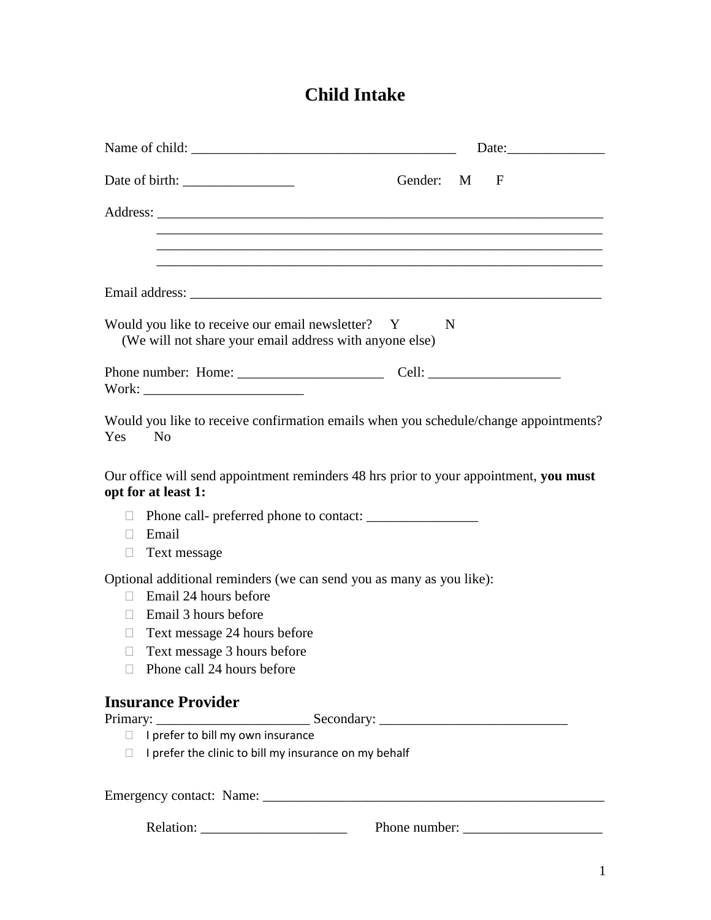# **Child Intake**

|                                                                                                                                                                                                                                                       | Gender: M<br>F                                                                                                                                                                                                                                                                                                                                        |
|-------------------------------------------------------------------------------------------------------------------------------------------------------------------------------------------------------------------------------------------------------|-------------------------------------------------------------------------------------------------------------------------------------------------------------------------------------------------------------------------------------------------------------------------------------------------------------------------------------------------------|
|                                                                                                                                                                                                                                                       |                                                                                                                                                                                                                                                                                                                                                       |
|                                                                                                                                                                                                                                                       |                                                                                                                                                                                                                                                                                                                                                       |
|                                                                                                                                                                                                                                                       |                                                                                                                                                                                                                                                                                                                                                       |
| Would you like to receive our email newsletter? Y<br>(We will not share your email address with anyone else)                                                                                                                                          | N                                                                                                                                                                                                                                                                                                                                                     |
|                                                                                                                                                                                                                                                       |                                                                                                                                                                                                                                                                                                                                                       |
| N <sub>0</sub><br>Yes                                                                                                                                                                                                                                 | Would you like to receive confirmation emails when you schedule/change appointments?                                                                                                                                                                                                                                                                  |
| opt for at least 1:                                                                                                                                                                                                                                   | Our office will send appointment reminders 48 hrs prior to your appointment, you must                                                                                                                                                                                                                                                                 |
| $\Box$<br>Email<br>П<br>Text message<br>$\Box$                                                                                                                                                                                                        |                                                                                                                                                                                                                                                                                                                                                       |
| Optional additional reminders (we can send you as many as you like):<br>Email 24 hours before<br>$\Box$<br>Email 3 hours before<br>$\Box$<br>Text message 24 hours before<br>$\Box$<br>Text message 3 hours before<br>П<br>Phone call 24 hours before |                                                                                                                                                                                                                                                                                                                                                       |
| <b>Insurance Provider</b>                                                                                                                                                                                                                             |                                                                                                                                                                                                                                                                                                                                                       |
|                                                                                                                                                                                                                                                       | $\begin{tabular}{l} \bf{Primary:} \end{tabular} \begin{tabular}{p{0.5cm}p{0.8cm}p{0.8cm}p{0.8cm}} \end{tabular} \begin{tabular}{p{0.8cm}p{0.8cm}p{0.8cm}p{0.8cm}p{0.8cm}} \end{tabular} \begin{tabular}{p{0.8cm}p{0.8cm}p{0.8cm}p{0.8cm}p{0.8cm}p{0.8cm}p{0.8cm}} \end{tabular} \begin{tabular}{p{0.8cm}p{0.8cm}p{0.8cm}p{0.8cm}p{0.8cm}p{0.8cm}p{0.$ |
| $\Box$ I prefer the clinic to bill my insurance on my behalf                                                                                                                                                                                          |                                                                                                                                                                                                                                                                                                                                                       |
|                                                                                                                                                                                                                                                       |                                                                                                                                                                                                                                                                                                                                                       |
|                                                                                                                                                                                                                                                       |                                                                                                                                                                                                                                                                                                                                                       |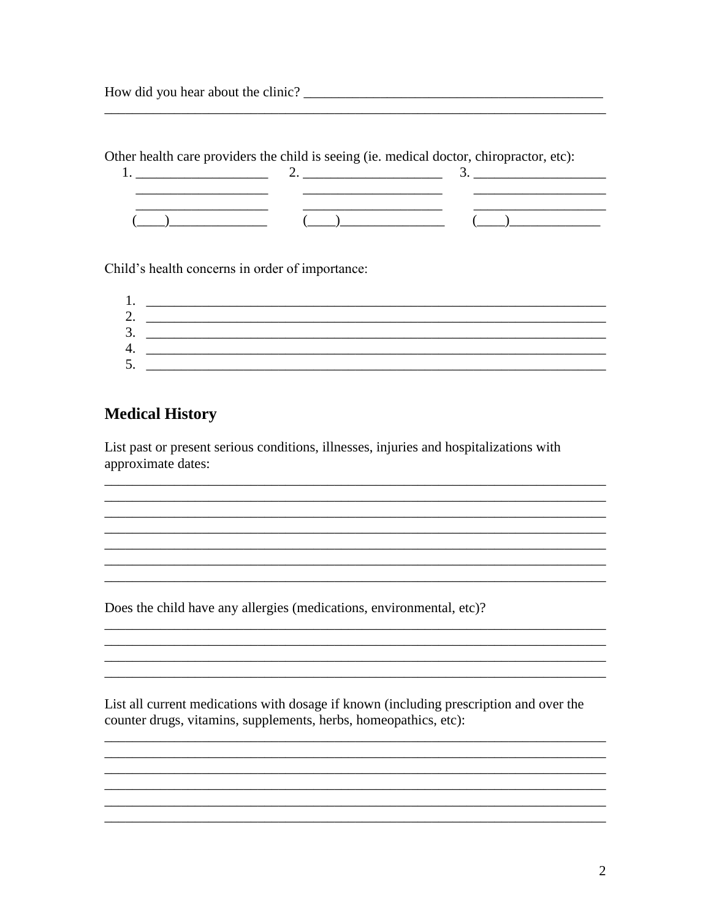Other health care providers the child is seeing (ie. medical doctor, chiropractor, etc):

| the control of the control of the control of the control of the control of the control of the control of the control of the control of the control of the control of the control of the control of the control of the control | $\mathcal{L}$ |
|-------------------------------------------------------------------------------------------------------------------------------------------------------------------------------------------------------------------------------|---------------|
|                                                                                                                                                                                                                               |               |
|                                                                                                                                                                                                                               |               |
|                                                                                                                                                                                                                               |               |

Child's health concerns in order of importance:

| 1.              |  |
|-----------------|--|
| っ<br><u>، ،</u> |  |
| 3.              |  |
| Δ               |  |
| 5<br>J.         |  |

<u> 1989 - Johann Stoff, deutscher Stoff, der Stoff, der Stoff, der Stoff, der Stoff, der Stoff, der Stoff, der S</u>

#### **Medical History**

List past or present serious conditions, illnesses, injuries and hospitalizations with approximate dates:

Does the child have any allergies (medications, environmental, etc)?

List all current medications with dosage if known (including prescription and over the counter drugs, vitamins, supplements, herbs, homeopathics, etc):

<u> 1989 - Johann Stoff, deutscher Stoff, der Stoff, der Stoff, der Stoff, der Stoff, der Stoff, der Stoff, der S</u>

<u> 1989 - Johann Stoff, amerikansk politiker (d. 1989)</u>

<u> 1989 - Jan James James, martin amerikan basar (j. 1989)</u>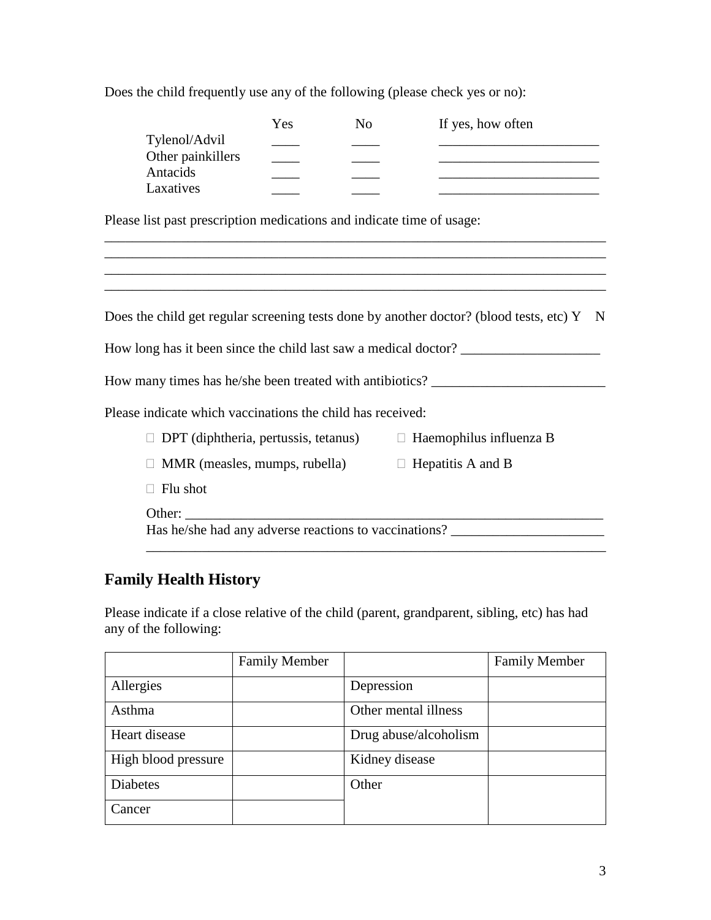Does the child frequently use any of the following (please check yes or no):

|                                                                       | Yes | No | If yes, how often                                                                                                     |
|-----------------------------------------------------------------------|-----|----|-----------------------------------------------------------------------------------------------------------------------|
| Tylenol/Advil                                                         |     |    |                                                                                                                       |
| Other painkillers                                                     |     |    |                                                                                                                       |
| Antacids                                                              |     |    |                                                                                                                       |
| Laxatives                                                             |     |    | <u> 1989 - Johann Barbara, martin amerikan basal dan berasal dalam basal dalam basal dalam basal dalam basal dala</u> |
| Please list past prescription medications and indicate time of usage: |     |    |                                                                                                                       |
|                                                                       |     |    |                                                                                                                       |
|                                                                       |     |    | and the control of the control of the control of the control of the control of the control of the control of the      |
|                                                                       |     |    |                                                                                                                       |
|                                                                       |     |    | Does the child get regular screening tests done by another doctor? (blood tests, etc) $Y \times N$                    |
|                                                                       |     |    | How long has it been since the child last saw a medical doctor?                                                       |
|                                                                       |     |    | How many times has he/she been treated with antibiotics? ________________________                                     |
| Please indicate which vaccinations the child has received:            |     |    |                                                                                                                       |
|                                                                       |     |    | $\Box$ DPT (diphtheria, pertussis, tetanus) $\Box$ Haemophilus influenza B                                            |
| $\Box$ MMR (measles, mumps, rubella) $\Box$ Hepatitis A and B         |     |    |                                                                                                                       |
| Flu shot                                                              |     |    |                                                                                                                       |
| Other:                                                                |     |    |                                                                                                                       |
|                                                                       |     |    | Has he/she had any adverse reactions to vaccinations? __________________________                                      |
|                                                                       |     |    |                                                                                                                       |

## **Family Health History**

Please indicate if a close relative of the child (parent, grandparent, sibling, etc) has had any of the following:

|                     | <b>Family Member</b> |                       | <b>Family Member</b> |
|---------------------|----------------------|-----------------------|----------------------|
| Allergies           |                      | Depression            |                      |
| Asthma              |                      | Other mental illness  |                      |
| Heart disease       |                      | Drug abuse/alcoholism |                      |
| High blood pressure |                      | Kidney disease        |                      |
| <b>Diabetes</b>     |                      | Other                 |                      |
| Cancer              |                      |                       |                      |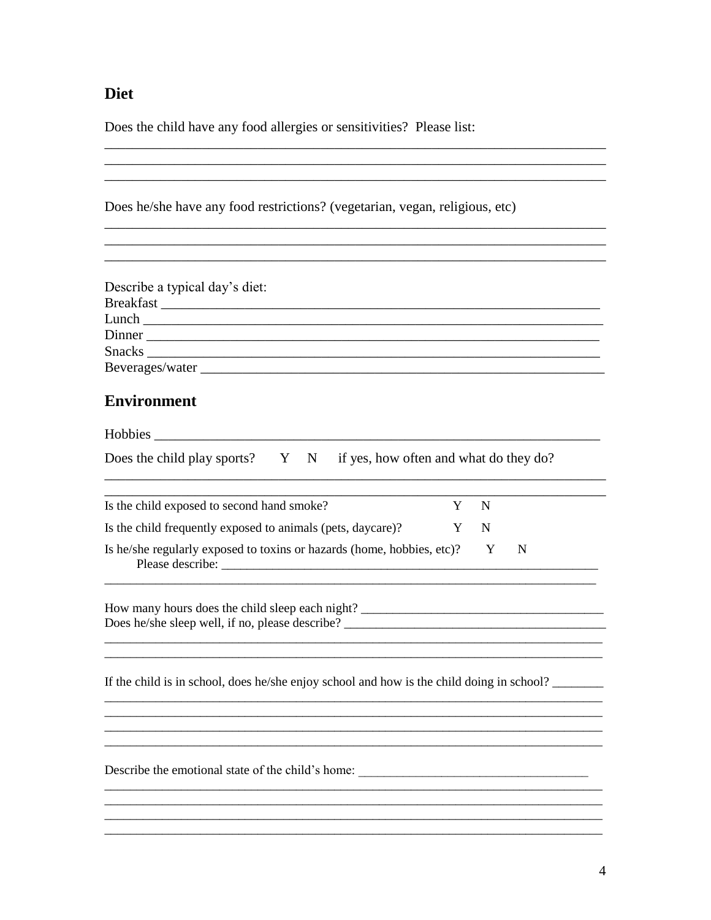### Diet

Does the child have any food allergies or sensitivities? Please list:

| Does he/she have any food restrictions? (vegetarian, vegan, religious, etc) |  |
|-----------------------------------------------------------------------------|--|
|                                                                             |  |

| Describe a typical day's diet: |  |
|--------------------------------|--|
|                                |  |
|                                |  |
| Dinner _______________________ |  |
|                                |  |
|                                |  |

### **Environment**

| Does the child play sports? Y N if yes, how often and what do they do?                    |   |   |   |
|-------------------------------------------------------------------------------------------|---|---|---|
| Is the child exposed to second hand smoke?                                                | Y | N |   |
| Is the child frequently exposed to animals (pets, daycare)?                               | Y | N |   |
| Is he/she regularly exposed to toxins or hazards (home, hobbies, etc)? Y                  |   |   | N |
| Does he/she sleep well, if no, please describe? _________________________________         |   |   |   |
| If the child is in school, does he/she enjoy school and how is the child doing in school? |   |   |   |
|                                                                                           |   |   |   |
| Describe the emotional state of the child's home: _______________________________         |   |   |   |
|                                                                                           |   |   |   |